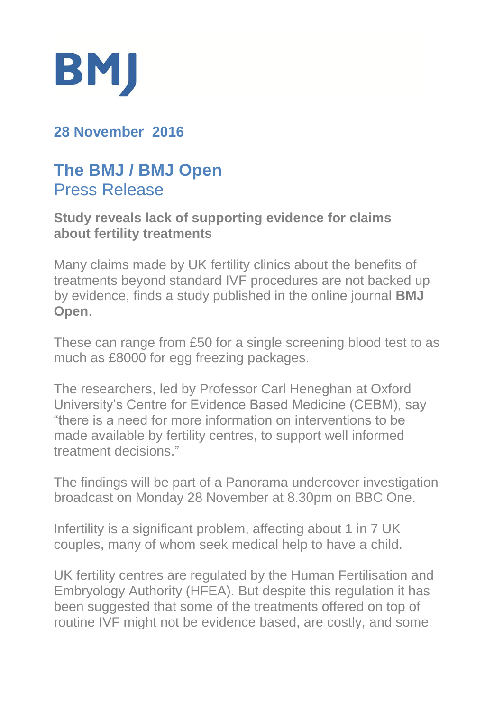

## **28 November 2016**

# **The BMJ / BMJ Open**  Press Release

#### **Study reveals lack of supporting evidence for claims about fertility treatments**

Many claims made by UK fertility clinics about the benefits of treatments beyond standard IVF procedures are not backed up by evidence, finds a study published in the online journal **BMJ Open**.

These can range from £50 for a single screening blood test to as much as £8000 for egg freezing packages.

The researchers, led by Professor Carl Heneghan at Oxford University's Centre for Evidence Based Medicine (CEBM), say "there is a need for more information on interventions to be made available by fertility centres, to support well informed treatment decisions."

The findings will be part of a Panorama undercover investigation broadcast on Monday 28 November at 8.30pm on BBC One.

Infertility is a significant problem, affecting about 1 in 7 UK couples, many of whom seek medical help to have a child.

UK fertility centres are regulated by the Human Fertilisation and Embryology Authority (HFEA). But despite this regulation it has been suggested that some of the treatments offered on top of routine IVF might not be evidence based, are costly, and some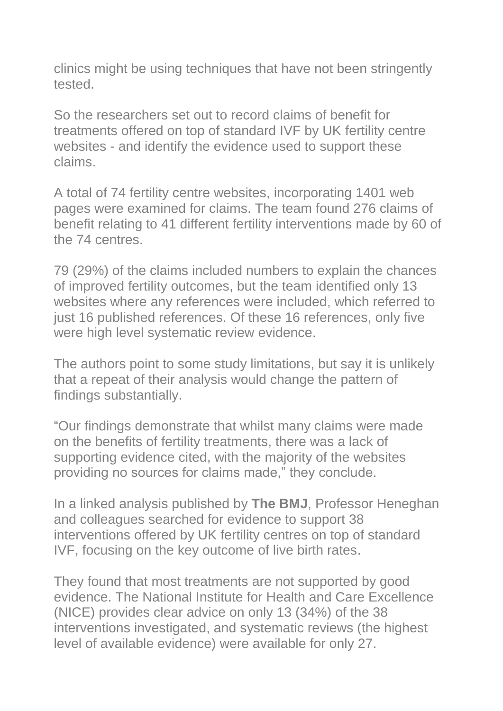clinics might be using techniques that have not been stringently tested.

So the researchers set out to record claims of benefit for treatments offered on top of standard IVF by UK fertility centre websites - and identify the evidence used to support these claims.

A total of 74 fertility centre websites, incorporating 1401 web pages were examined for claims. The team found 276 claims of benefit relating to 41 different fertility interventions made by 60 of the 74 centres.

79 (29%) of the claims included numbers to explain the chances of improved fertility outcomes, but the team identified only 13 websites where any references were included, which referred to just 16 published references. Of these 16 references, only five were high level systematic review evidence.

The authors point to some study limitations, but say it is unlikely that a repeat of their analysis would change the pattern of findings substantially.

"Our findings demonstrate that whilst many claims were made on the benefits of fertility treatments, there was a lack of supporting evidence cited, with the majority of the websites providing no sources for claims made," they conclude.

In a linked analysis published by **The BMJ**, Professor Heneghan and colleagues searched for evidence to support 38 interventions offered by UK fertility centres on top of standard IVF, focusing on the key outcome of live birth rates.

They found that most treatments are not supported by good evidence. The National Institute for Health and Care Excellence (NICE) provides clear advice on only 13 (34%) of the 38 interventions investigated, and systematic reviews (the highest level of available evidence) were available for only 27.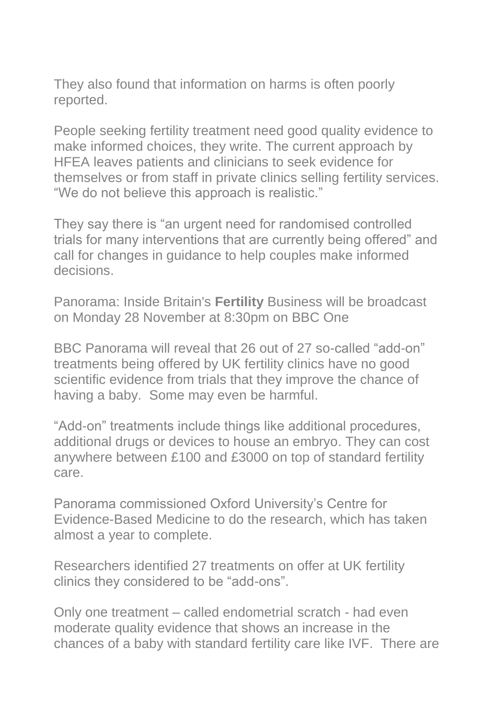They also found that information on harms is often poorly reported.

People seeking fertility treatment need good quality evidence to make informed choices, they write. The current approach by HFEA leaves patients and clinicians to seek evidence for themselves or from staff in private clinics selling fertility services. "We do not believe this approach is realistic."

They say there is "an urgent need for randomised controlled trials for many interventions that are currently being offered" and call for changes in guidance to help couples make informed decisions.

Panorama: Inside Britain's **Fertility** Business will be broadcast on Monday 28 November at 8:30pm on BBC One

BBC Panorama will reveal that 26 out of 27 so-called "add-on" treatments being offered by UK fertility clinics have no good scientific evidence from trials that they improve the chance of having a baby. Some may even be harmful.

"Add-on" treatments include things like additional procedures, additional drugs or devices to house an embryo. They can cost anywhere between £100 and £3000 on top of standard fertility care.

Panorama commissioned Oxford University's Centre for Evidence-Based Medicine to do the research, which has taken almost a year to complete.

Researchers identified 27 treatments on offer at UK fertility clinics they considered to be "add-ons".

Only one treatment – called endometrial scratch - had even moderate quality evidence that shows an increase in the chances of a baby with standard fertility care like IVF. There are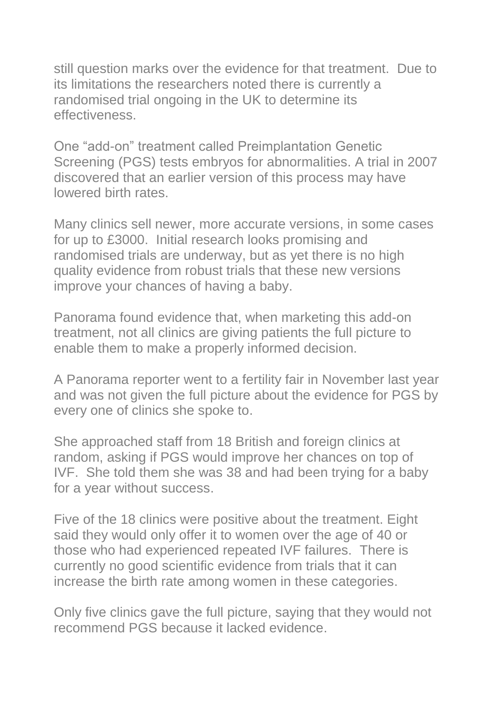still question marks over the evidence for that treatment. Due to its limitations the researchers noted there is currently a randomised trial ongoing in the UK to determine its effectiveness.

One "add-on" treatment called Preimplantation Genetic Screening (PGS) tests embryos for abnormalities. A trial in 2007 discovered that an earlier version of this process may have lowered birth rates.

Many clinics sell newer, more accurate versions, in some cases for up to £3000. Initial research looks promising and randomised trials are underway, but as yet there is no high quality evidence from robust trials that these new versions improve your chances of having a baby.

Panorama found evidence that, when marketing this add-on treatment, not all clinics are giving patients the full picture to enable them to make a properly informed decision.

A Panorama reporter went to a fertility fair in November last year and was not given the full picture about the evidence for PGS by every one of clinics she spoke to.

She approached staff from 18 British and foreign clinics at random, asking if PGS would improve her chances on top of IVF. She told them she was 38 and had been trying for a baby for a year without success.

Five of the 18 clinics were positive about the treatment. Eight said they would only offer it to women over the age of 40 or those who had experienced repeated IVF failures. There is currently no good scientific evidence from trials that it can increase the birth rate among women in these categories.

Only five clinics gave the full picture, saying that they would not recommend PGS because it lacked evidence.